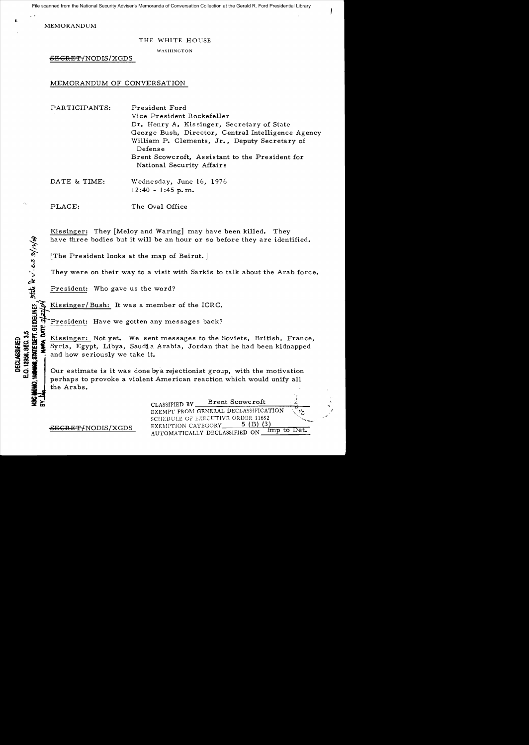File scanned from the National Security Adviser's Memoranda of Conversation Collection at the Gerald R. Ford Presidential Library

MEMORANDUM

## THE WHITE HOUSE

WASHINGTON

<del>SEGRET/</del>NODIS/XGDS

## MEMORANDUM OF CONVERSATION

| PARTICIPANTS: | President Ford<br>Vice President Rockefeller<br>Dr. Henry A. Kissinger, Secretary of State<br>George Bush, Director, Central Intelligence Agency<br>William P. Clements, Jr., Deputy Secretary of |
|---------------|---------------------------------------------------------------------------------------------------------------------------------------------------------------------------------------------------|
|               | Defense<br>Brent Scowcroft, Assistant to the President for<br>National Security Affairs                                                                                                           |

DATE & TIME: Wednesday, June 16, 1976  $12:40 - 1:45$  p.m.

PLACE: The Oval Office

Kissinger: They [Meloy and Waring] may have been killed. They have three bodies but it will be an hour or so before they are identified.

[The President looks at the map of Beirut. ]

They were on their way to a visit with Sarkis to talk about the Arab force.

President: Who gave us the word?

**"** construct of the distinguished" or a s/12/04

Kissinger/ Bush: It was a member of the ICRC.

Example The Sident: Have we gotten any messages back?<br>
So the Missinger: Not yet. We sent messages to the S<br>
So the Syria, Egypt, Libya, Saudia Arabia, Jordan that<br>
So the and how seriously we take it.<br>
Our estimate is it oco Kissinger: Not yet. We sent messages to the Soviets, British, France,<br>2009 2012 Syria, Egypt, Libya, Saudia Arabia, Jordan that he had been kidnapped<br>2013 2012 2013 2014 2015 2017 estimate is it was done by a rejection Syria, Egypt, Libya, Saudi a Arabia, Jordan that he had been kidnapped

and how seriously we take it.<br>Our estimate is it was done bya rejectionist group, with the motivation perhaps to provoke a violent American reaction which would unify all the Arabs.

CLASSIFIED BY Brent Scowcroft EXEMPT FROM GENERAL DECLASSIFICATION SCHEDULE OF EXECUTIVE ORDER 11652 EXEMPTION CATEGORY 5 (B) (3)<br>AUTOMATICALLY DECLASSIFIED ON Imp to Det.

! *.1*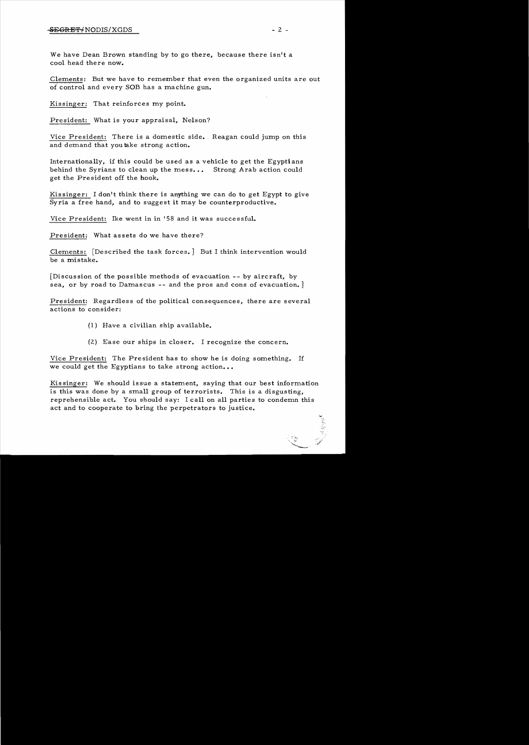We have Dean Brown standing by to go there, because there isn't a cool head there now.

Clements: But we have to remember that even the organized units are out of control and every SOB has a machine gun.

Kissinger: That reinforces my point.

President: What is your appraisal, Nelson?

Vice President: There is a domestic side. Reagan could jump on this and demand that you take strong action.

Internationally, if this could be used as a vehicle to get the Egyptians behind the Syrians to clean up the mess... Strong Arab action could get the President off the hook.

Kissinger: I don't think there is anything we can do to get Egypt to give Syria a free hand, and to suggest it may be counterproductive.

Vice President: Ike went in in '58 and it was successful.

President: What assets do we have there?

Clements: [Described the task forces. ] But I think intervention would be a mistake.

[Discussion of the possible methods of evacuation -- by aircraft, by sea, or by road to Damascus -- and the pros and cons of evacuation. ]

President: Regardless of the political consequences, there are several actions to consider:

- (1) Have a civilian ship available.
- (2) Ease our ships in closer. I recognize the concern.

Vice President: The President has to show he is doing something. If we could get the Egyptians to take strong action...

Kis singer: We should issue a statement, saying that our best information is this was done by a small group of terrorists. This is a disgusting, reprehensible act. You should say: I call on all parties to condemn this act and to cooperate to bring the perpetrators to justice.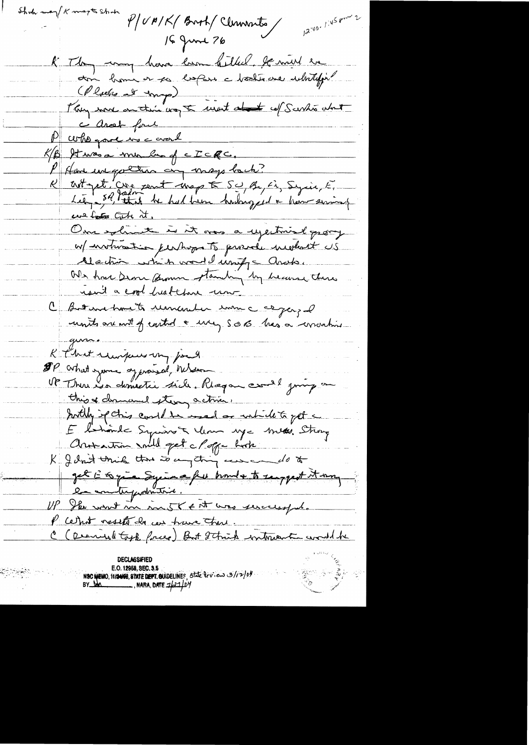Shoh may K magts Shoh  $12^{140}$  / 145 pm 2 P/UM/K/Broth/Clemments 16 June 76 K They wang have been hilled the mil en (Pluebes at trap) Plus more au troi vos te ment at et cel Surho about c arost four P who gave me and  $K/B$  stars a min bund c  $Z \subset \mathbb{R}$ c. P Home une gotten on mays back?<br>R art pet, Cire cent map E SU Be, El Syria, E, us both it. One solunt is it was a ujectional promp w/ involvement in pershaps to proverly incolant US Alaction which would import ands. Or have seare from standing by heaven there ran't a cool heat three une C But me trout remember mon companyed units are with of earthof a usery S.O.B. has a wronting R Chat runpour un jour. OP what you approved, When this of drenand stery active. Swithin spoting could be made or which to get E l'honde Syrian & Mon nye mes. Strong Artamin mill get cloppe hoch K gent unique tous to any thing can come do to get à la prie Syria a fu troube to surport it was P cethot resets de ces trave there. C (Dearived took forces) But 2 think witness to word be E.O. 12958, SEC. 3.5 NSC NEMO, 11/2NSS. STATE DEPT. GUIDELINES, STATE DEVIEW 3/12/04<br>BY DA